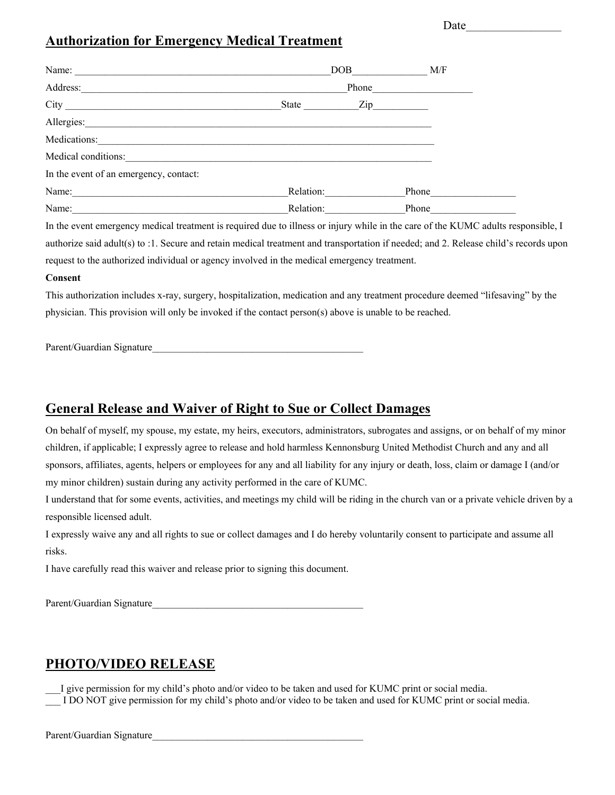Date

## **Authorization for Emergency Medical Treatment**

| Name:                                  | DOB <sub>1</sub> |  | M/F   |
|----------------------------------------|------------------|--|-------|
| Address:                               | Phone            |  |       |
|                                        | State Zip        |  |       |
| Allergies:                             |                  |  |       |
| Medications:                           |                  |  |       |
| Medical conditions:                    |                  |  |       |
| In the event of an emergency, contact: |                  |  |       |
| Name:                                  | Relation:        |  | Phone |
| Name:                                  | Relation:        |  | Phone |

In the event emergency medical treatment is required due to illness or injury while in the care of the KUMC adults responsible, I authorize said adult(s) to :1. Secure and retain medical treatment and transportation if needed; and 2. Release child's records upon request to the authorized individual or agency involved in the medical emergency treatment.

#### **Consent**

This authorization includes x-ray, surgery, hospitalization, medication and any treatment procedure deemed "lifesaving" by the physician. This provision will only be invoked if the contact person(s) above is unable to be reached.

Parent/Guardian Signature

## **General Release and Waiver of Right to Sue or Collect Damages**

On behalf of myself, my spouse, my estate, my heirs, executors, administrators, subrogates and assigns, or on behalf of my minor children, if applicable; I expressly agree to release and hold harmless Kennonsburg United Methodist Church and any and all sponsors, affiliates, agents, helpers or employees for any and all liability for any injury or death, loss, claim or damage I (and/or my minor children) sustain during any activity performed in the care of KUMC.

I understand that for some events, activities, and meetings my child will be riding in the church van or a private vehicle driven by a responsible licensed adult.

I expressly waive any and all rights to sue or collect damages and I do hereby voluntarily consent to participate and assume all risks.

I have carefully read this waiver and release prior to signing this document.

Parent/Guardian Signature

## **PHOTO/VIDEO RELEASE**

\_\_\_I give permission for my child's photo and/or video to be taken and used for KUMC print or social media.

\_\_\_ I DO NOT give permission for my child's photo and/or video to be taken and used for KUMC print or social media.

Parent/Guardian Signature